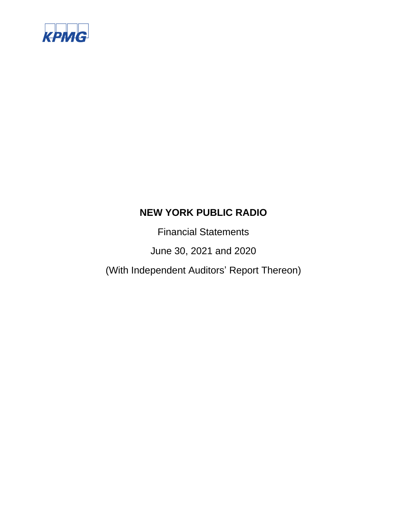

Financial Statements

June 30, 2021 and 2020

(With Independent Auditors' Report Thereon)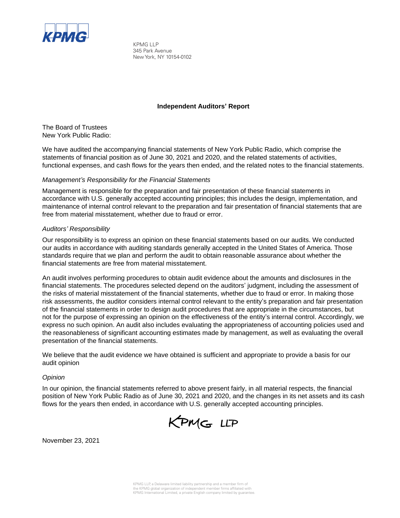

KPMG LLP 345 Park Avenue New York, NY 10154-0102

#### **Independent Auditors' Report**

The Board of Trustees New York Public Radio:

We have audited the accompanying financial statements of New York Public Radio, which comprise the statements of financial position as of June 30, 2021 and 2020, and the related statements of activities, functional expenses, and cash flows for the years then ended, and the related notes to the financial statements.

#### *Management's Responsibility for the Financial Statements*

Management is responsible for the preparation and fair presentation of these financial statements in accordance with U.S. generally accepted accounting principles; this includes the design, implementation, and maintenance of internal control relevant to the preparation and fair presentation of financial statements that are free from material misstatement, whether due to fraud or error.

#### *Auditors' Responsibility*

Our responsibility is to express an opinion on these financial statements based on our audits. We conducted our audits in accordance with auditing standards generally accepted in the United States of America. Those standards require that we plan and perform the audit to obtain reasonable assurance about whether the financial statements are free from material misstatement.

An audit involves performing procedures to obtain audit evidence about the amounts and disclosures in the financial statements. The procedures selected depend on the auditors' judgment, including the assessment of the risks of material misstatement of the financial statements, whether due to fraud or error. In making those risk assessments, the auditor considers internal control relevant to the entity's preparation and fair presentation of the financial statements in order to design audit procedures that are appropriate in the circumstances, but not for the purpose of expressing an opinion on the effectiveness of the entity's internal control. Accordingly, we express no such opinion. An audit also includes evaluating the appropriateness of accounting policies used and the reasonableness of significant accounting estimates made by management, as well as evaluating the overall presentation of the financial statements.

We believe that the audit evidence we have obtained is sufficient and appropriate to provide a basis for our audit opinion

#### *Opinion*

In our opinion, the financial statements referred to above present fairly, in all material respects, the financial position of New York Public Radio as of June 30, 2021 and 2020, and the changes in its net assets and its cash flows for the years then ended, in accordance with U.S. generally accepted accounting principles.



November 23, 2021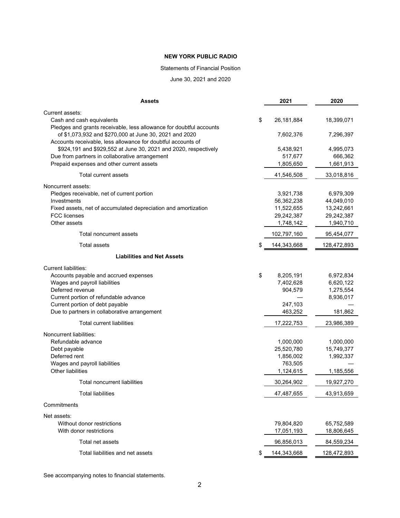#### Statements of Financial Position

June 30, 2021 and 2020

| <b>Assets</b>                                                                                                          | 2021              | 2020        |
|------------------------------------------------------------------------------------------------------------------------|-------------------|-------------|
| Current assets:<br>Cash and cash equivalents<br>Pledges and grants receivable, less allowance for doubtful accounts    | \$<br>26,181,884  | 18,399,071  |
| of \$1,073,932 and \$270,000 at June 30, 2021 and 2020<br>Accounts receivable, less allowance for doubtful accounts of | 7,602,376         | 7,296,397   |
| \$924,191 and \$929,552 at June 30, 2021 and 2020, respectively                                                        | 5,438,921         | 4,995,073   |
| Due from partners in collaborative arrangement                                                                         | 517,677           | 666,362     |
| Prepaid expenses and other current assets                                                                              | 1,805,650         | 1,661,913   |
| Total current assets                                                                                                   | 41,546,508        | 33,018,816  |
| Noncurrent assets:                                                                                                     |                   |             |
| Pledges receivable, net of current portion                                                                             | 3,921,738         | 6,979,309   |
| Investments                                                                                                            | 56,362,238        | 44,049,010  |
| Fixed assets, net of accumulated depreciation and amortization                                                         | 11,522,655        | 13,242,661  |
| <b>FCC</b> licenses                                                                                                    | 29,242,387        | 29,242,387  |
| Other assets                                                                                                           | 1,748,142         | 1,940,710   |
| Total noncurrent assets                                                                                                | 102,797,160       | 95,454,077  |
| <b>Total assets</b>                                                                                                    | \$<br>144,343,668 | 128,472,893 |
| <b>Liabilities and Net Assets</b>                                                                                      |                   |             |
| <b>Current liabilities:</b>                                                                                            |                   |             |
| Accounts payable and accrued expenses                                                                                  | \$<br>8,205,191   | 6,972,834   |
| Wages and payroll liabilities                                                                                          | 7,402,628         | 6,620,122   |
| Deferred revenue                                                                                                       | 904,579           | 1,275,554   |
| Current portion of refundable advance                                                                                  |                   | 8,936,017   |
| Current portion of debt payable                                                                                        | 247,103           |             |
| Due to partners in collaborative arrangement                                                                           | 463,252           | 181,862     |
| <b>Total current liabilities</b>                                                                                       | 17,222,753        | 23,986,389  |
| Noncurrent liabilities:                                                                                                |                   |             |
| Refundable advance                                                                                                     | 1,000,000         | 1,000,000   |
| Debt payable                                                                                                           | 25,520,780        | 15,749,377  |
| Deferred rent                                                                                                          | 1,856,002         | 1,992,337   |
| Wages and payroll liabilities                                                                                          | 763,505           |             |
| Other liabilities                                                                                                      | 1,124,615         | 1,185,556   |
| Total noncurrent liabilities                                                                                           | 30,264,902        | 19,927,270  |
| <b>Total liabilities</b>                                                                                               | 47,487,655        | 43,913,659  |
| Commitments                                                                                                            |                   |             |
| Net assets:                                                                                                            |                   |             |
| Without donor restrictions                                                                                             | 79,804,820        | 65,752,589  |
| With donor restrictions                                                                                                | 17,051,193        | 18,806,645  |
| Total net assets                                                                                                       | 96,856,013        | 84,559,234  |
| Total liabilities and net assets                                                                                       | \$<br>144,343,668 | 128,472,893 |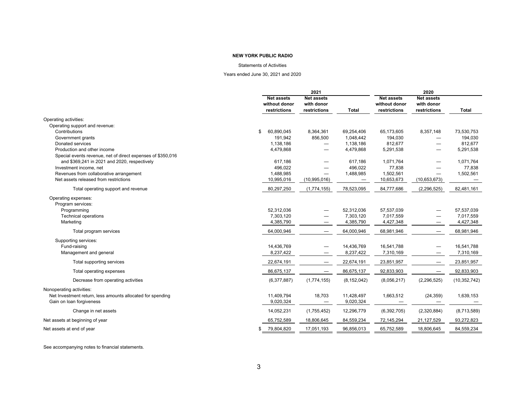#### Statements of Activities

#### Years ended June 30, 2021 and 2020

|                                                             | 2021              |                          |                          | 2020              |               |                |  |
|-------------------------------------------------------------|-------------------|--------------------------|--------------------------|-------------------|---------------|----------------|--|
|                                                             | <b>Net assets</b> | <b>Net assets</b>        |                          | <b>Net assets</b> |               |                |  |
|                                                             | without donor     | with donor               |                          | without donor     | with donor    |                |  |
|                                                             | restrictions      | restrictions             | <b>Total</b>             | restrictions      | restrictions  | <b>Total</b>   |  |
| Operating activities:                                       |                   |                          |                          |                   |               |                |  |
| Operating support and revenue:                              |                   |                          |                          |                   |               |                |  |
| Contributions                                               | 60,890,045<br>\$  | 8,364,361                | 69,254,406               | 65,173,605        | 8,357,148     | 73,530,753     |  |
| Government grants                                           | 191,942           | 856,500                  | 1,048,442                | 194,030           |               | 194,030        |  |
| Donated services                                            | 1,138,186         | —                        | 1,138,186                | 812,677           |               | 812,677        |  |
| Production and other income                                 | 4,479,868         |                          | 4,479,868                | 5,291,538         |               | 5,291,538      |  |
| Special events revenue, net of direct expenses of \$350,016 |                   |                          |                          |                   |               |                |  |
| and \$369,241 in 2021 and 2020, respectively                | 617,186           |                          | 617,186                  | 1,071,764         | —             | 1,071,764      |  |
| Investment income, net                                      | 496,022           |                          | 496,022                  | 77,838            |               | 77,838         |  |
| Revenues from collaborative arrangement                     | 1,488,985         |                          | 1,488,985                | 1,502,561         |               | 1,502,561      |  |
| Net assets released from restrictions                       | 10,995,016        | (10, 995, 016)           | $\overline{\phantom{0}}$ | 10,653,673        | (10,653,673)  |                |  |
| Total operating support and revenue                         | 80,297,250        | (1,774,155)              | 78,523,095               | 84,777,686        | (2, 296, 525) | 82,481,161     |  |
|                                                             |                   |                          |                          |                   |               |                |  |
| Operating expenses:                                         |                   |                          |                          |                   |               |                |  |
| Program services:                                           |                   |                          |                          |                   |               |                |  |
| Programming                                                 | 52,312,036        |                          | 52,312,036               | 57,537,039        |               | 57,537,039     |  |
| <b>Technical operations</b>                                 | 7,303,120         |                          | 7,303,120                | 7,017,559         |               | 7,017,559      |  |
| Marketing                                                   | 4,385,790         |                          | 4,385,790                | 4,427,348         |               | 4,427,348      |  |
| Total program services                                      | 64,000,946        | $\overline{\phantom{0}}$ | 64,000,946               | 68,981,946        |               | 68,981,946     |  |
| Supporting services:                                        |                   |                          |                          |                   |               |                |  |
| Fund-raising                                                | 14,436,769        |                          | 14,436,769               | 16,541,788        |               | 16,541,788     |  |
| Management and general                                      | 8,237,422         |                          | 8,237,422                | 7,310,169         |               | 7,310,169      |  |
| Total supporting services                                   | 22,674,191        | —                        | 22,674,191               | 23,851,957        |               | 23,851,957     |  |
| Total operating expenses                                    | 86,675,137        | —                        | 86,675,137               | 92,833,903        |               | 92,833,903     |  |
| Decrease from operating activities                          | (6,377,887)       | (1,774,155)              | (8, 152, 042)            | (8,056,217)       | (2, 296, 525) | (10, 352, 742) |  |
|                                                             |                   |                          |                          |                   |               |                |  |
| Nonoperating activities:                                    |                   |                          |                          |                   |               |                |  |
| Net Investment return, less amounts allocated for spending  | 11,409,794        | 18,703                   | 11,428,497               | 1,663,512         | (24, 359)     | 1,639,153      |  |
| Gain on loan forgiveness                                    | 9,020,324         |                          | 9,020,324                |                   |               |                |  |
| Change in net assets                                        | 14,052,231        | (1,755,452)              | 12,296,779               | (6, 392, 705)     | (2,320,884)   | (8,713,589)    |  |
| Net assets at beginning of year                             | 65,752,589        | 18,806,645               | 84,559,234               | 72,145,294        | 21,127,529    | 93,272,823     |  |
| Net assets at end of year                                   | 79,804,820        | 17,051,193               | 96,856,013               | 65,752,589        | 18,806,645    | 84,559,234     |  |
|                                                             |                   |                          |                          |                   |               |                |  |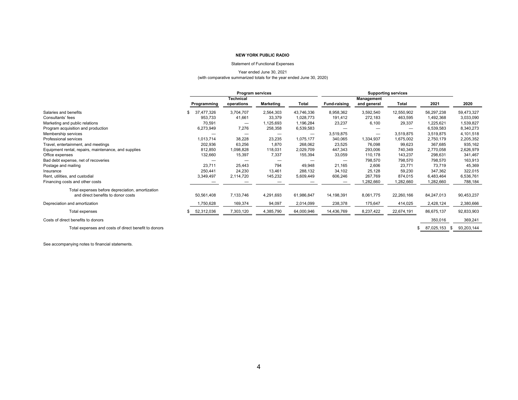#### Statement of Functional Expenses

#### Year ended June 30, 2021 (with comparative summarized totals for the year ended June 30, 2020)

|                                                      | Program services |                  |                          |           | <b>Supporting services</b> |                          |             |            |                    |            |
|------------------------------------------------------|------------------|------------------|--------------------------|-----------|----------------------------|--------------------------|-------------|------------|--------------------|------------|
|                                                      |                  | <b>Technical</b> |                          |           | Management                 |                          |             |            |                    |            |
|                                                      |                  | Programming      | operations               | Marketing | Total                      | <b>Fund-raising</b>      | and general | Total      | 2021               | 2020       |
| Salaries and benefits                                |                  | 37,477,326       | 3,704,707                | 2,564,303 | 43,746,336                 | 8,958,362                | 3,592,540   | 12,550,902 | 56,297,238         | 59,473,327 |
| Consultants' fees                                    |                  | 953,733          | 41,661                   | 33,379    | 1,028,773                  | 191,412                  | 272,183     | 463,595    | 1,492,368          | 3,033,090  |
| Marketing and public relations                       |                  | 70,591           | $\overline{\phantom{m}}$ | 1,125,693 | 1,196,284                  | 23,237                   | 6,100       | 29,337     | 1,225,621          | 1,539,827  |
| Program acquisition and production                   |                  | 6,273,949        | 7,276                    | 258,358   | 6,539,583                  |                          |             |            | 6,539,583          | 8,340,273  |
| Membership services                                  |                  |                  |                          |           |                            | 3,519,875                | —           | 3,519,875  | 3,519,875          | 4,101,518  |
| <b>Professional services</b>                         |                  | 1,013,714        | 38,228                   | 23,235    | 1,075,177                  | 340,065                  | 1,334,937   | 1,675,002  | 2,750,179          | 2,205,352  |
| Travel, entertainment, and meetings                  |                  | 202,936          | 63,256                   | 1,870     | 268,062                    | 23,525                   | 76,098      | 99,623     | 367,685            | 935,162    |
| Equipment rental, repairs, maintenance, and supplies |                  | 812,850          | 1,098,828                | 118,031   | 2,029,709                  | 447,343                  | 293,006     | 740,349    | 2,770,058          | 2,626,979  |
| Office expenses                                      |                  | 132,660          | 15,397                   | 7,337     | 155,394                    | 33,059                   | 110,178     | 143,237    | 298,631            | 341,467    |
| Bad debt expense, net of recoveries                  |                  |                  |                          |           |                            | $\overline{\phantom{a}}$ | 798,570     | 798,570    | 798,570            | 163,913    |
| Postage and mailing                                  |                  | 23,711           | 25,443                   | 794       | 49,948                     | 21,165                   | 2,606       | 23,771     | 73,719             | 45,369     |
| Insurance                                            |                  | 250,441          | 24,230                   | 13,461    | 288,132                    | 34,102                   | 25,128      | 59,230     | 347,362            | 322,015    |
| Rent, utilities, and custodial                       |                  | 3,349,497        | 2,114,720                | 145,232   | 5,609,449                  | 606,246                  | 267,769     | 874,015    | 6,483,464          | 6,536,761  |
| Financing costs and other costs                      |                  |                  |                          |           |                            |                          | 1,282,660   | 1,282,660  | 1,282,660          | 788,184    |
| Total expenses before depreciation, amortization     |                  |                  |                          |           |                            |                          |             |            |                    |            |
| and direct benefits to donor costs                   |                  | 50,561,408       | 7,133,746                | 4,291,693 | 61,986,847                 | 14,198,391               | 8,061,775   | 22,260,166 | 84,247,013         | 90,453,237 |
| Depreciation and amortization                        |                  | ,750,628         | 169,374                  | 94,097    | 2,014,099                  | 238,378                  | 175,647     | 414,025    | 2,428,124          | 2,380,666  |
| Total expenses                                       |                  | 52,312,036       | 7,303,120                | 4,385,790 | 64,000,946                 | 14,436,769               | 8,237,422   | 22,674,191 | 86,675,137         | 92,833,903 |
| Costs of direct benefits to donors                   |                  |                  |                          |           |                            |                          |             |            | 350,016            | 369,241    |
| Total expenses and costs of direct benefit to donors |                  |                  |                          |           |                            |                          |             | S          | 87,025,153<br>- \$ | 93,203,144 |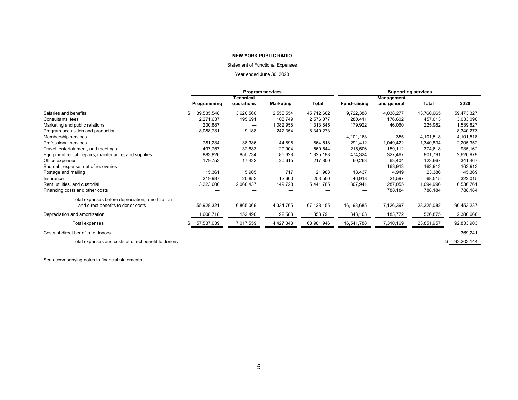#### Statement of Functional Expenses

Year ended June 30, 2020

|                                                      | Program services |            |                  |               | <b>Supporting services</b> |                   |              |            |
|------------------------------------------------------|------------------|------------|------------------|---------------|----------------------------|-------------------|--------------|------------|
|                                                      |                  | Technical  |                  |               |                            | <b>Management</b> |              |            |
|                                                      | Programming      | operations | <b>Marketing</b> | <b>Total</b>  | Fund-raising               | and general       | <b>Total</b> | 2020       |
| Salaries and benefits                                | 39,535,548       | 3,620,560  | 2,556,554        | 45,712,662    | 9,722,388                  | 4,038,277         | 13,760,665   | 59,473,327 |
| Consultants' fees                                    | 2,271,637        | 195,691    | 108,749          | 2,576,077     | 280,411                    | 176,602           | 457,013      | 3,033,090  |
| Marketing and public relations                       | 230,887          |            | 1,082,958        | 1,313,845     | 179,922                    | 46,060            | 225,982      | 1,539,827  |
| Program acquisition and production                   | 8,088,731        |            | 9,188<br>242,354 | 8,340,273     |                            |                   |              | 8,340,273  |
| Membership services                                  |                  |            |                  |               | 4,101,163                  | 355               | 4,101,518    | 4,101,518  |
| Professional services                                | 781,234          | 38,386     | 44,898           | 864,518       | 291,412                    | 1,049,422         | 1,340,834    | 2,205,352  |
| Travel, entertainment, and meetings                  | 497,757          | 32,883     | 29,904           | 560,544       | 215,506                    | 159,112           | 374,618      | 935,162    |
| Equipment rental, repairs, maintenance, and supplies | 883,826          | 855,734    | 85,628           | 1,825,188     | 474,324                    | 327,467           | 801,791      | 2,626,979  |
| Office expenses                                      | 179,753          | 17,432     | 20,615           | 217,800       | 60,263                     | 63,404            | 123,667      | 341,467    |
| Bad debt expense, net of recoveries                  |                  |            |                  |               |                            | 163,913           | 163,913      | 163,913    |
| Postage and mailing                                  |                  | 15,361     | 5,905            | 717<br>21,983 | 18,437                     | 4,949             | 23,386       | 45,369     |
| Insurance                                            | 219,987          | 20,853     | 12,660           | 253,500       | 46,918                     | 21,597            | 68,515       | 322,015    |
| Rent, utilities, and custodial                       | 3,223,600        | 2,068,437  | 149,728          | 5,441,765     | 807,941                    | 287,055           | 1,094,996    | 6,536,761  |
| Financing costs and other costs                      |                  |            |                  |               |                            | 788,184           | 788,184      | 788,184    |
| Total expenses before depreciation, amortization     |                  |            |                  |               |                            |                   |              |            |
| and direct benefits to donor costs                   | 55,928,321       | 6,865,069  | 4,334,765        | 67,128,155    | 16,198,685                 | 7,126,397         | 23,325,082   | 90,453,237 |
| Depreciation and amortization                        | 1,608,718        | 152,490    | 92,583           | 1,853,791     | 343,103                    | 183,772           | 526,875      | 2,380,666  |
| Total expenses                                       | 57,537,039       | 7,017,559  | 4,427,348        | 68,981,946    | 16,541,788                 | 7,310,169         | 23,851,957   | 92,833,903 |
| Costs of direct benefits to donors                   |                  |            |                  |               |                            |                   |              | 369,241    |
| Total expenses and costs of direct benefit to donors |                  |            |                  |               |                            |                   |              | 93,203,144 |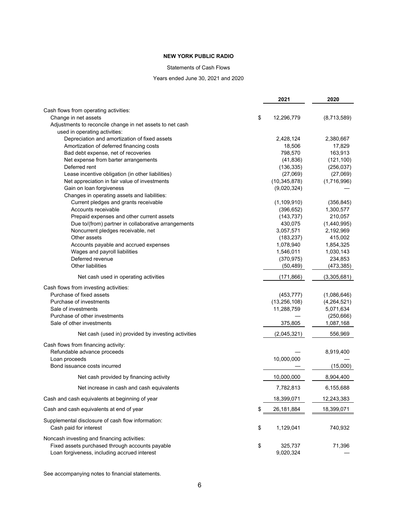#### Statements of Cash Flows

#### Years ended June 30, 2021 and 2020

|                                                           | 2021               | 2020        |
|-----------------------------------------------------------|--------------------|-------------|
| Cash flows from operating activities:                     |                    |             |
| Change in net assets                                      | \$<br>12,296,779   | (8,713,589) |
| Adjustments to reconcile change in net assets to net cash |                    |             |
| used in operating activities:                             |                    |             |
| Depreciation and amortization of fixed assets             | 2,428,124          | 2,380,667   |
| Amortization of deferred financing costs                  | 18,506             | 17,829      |
| Bad debt expense, net of recoveries                       | 798,570            | 163,913     |
| Net expense from barter arrangements                      | (41, 836)          | (121, 100)  |
| Deferred rent                                             | (136, 335)         | (256, 037)  |
| Lease incentive obligation (in other liabilities)         | (27,069)           | (27,069)    |
| Net appreciation in fair value of investments             | (10, 345, 878)     | (1,716,996) |
| Gain on loan forgiveness                                  | (9,020,324)        |             |
| Changes in operating assets and liabilities:              |                    |             |
| Current pledges and grants receivable                     | (1, 109, 910)      | (356, 845)  |
| Accounts receivable                                       | (396, 652)         | 1,300,577   |
| Prepaid expenses and other current assets                 | (143, 737)         | 210,057     |
| Due to/(from) partner in collaborative arrangements       | 430,075            | (1,440,995) |
| Noncurrent pledges receivable, net                        | 3,057,571          | 2,192,969   |
| Other assets                                              | (183, 237)         | 415,002     |
| Accounts payable and accrued expenses                     | 1,078,940          | 1,854,325   |
| Wages and payroll liabilities                             | 1,546,011          | 1,030,143   |
| Deferred revenue                                          | (370, 975)         | 234,853     |
| Other liabilities                                         | (50, 489)          | (473, 385)  |
| Net cash used in operating activities                     | (171, 866)         | (3,305,681) |
| Cash flows from investing activities:                     |                    |             |
| Purchase of fixed assets                                  | (453, 777)         | (1,086,646) |
| Purchase of investments                                   | (13, 256, 108)     | (4,264,521) |
| Sale of investments                                       | 11,288,759         | 5,071,634   |
| Purchase of other investments                             |                    | (250, 666)  |
| Sale of other investments                                 | 375,805            | 1,087,168   |
| Net cash (used in) provided by investing activities       | (2,045,321)        | 556,969     |
|                                                           |                    |             |
| Cash flows from financing activity:                       |                    |             |
| Refundable advance proceeds                               | 10,000,000         | 8,919,400   |
| Loan proceeds<br>Bond issuance costs incurred             |                    | (15,000)    |
|                                                           |                    |             |
| Net cash provided by financing activity                   | 10,000,000         | 8,904,400   |
| Net increase in cash and cash equivalents                 | 7,782,813          | 6,155,688   |
| Cash and cash equivalents at beginning of year            | 18,399,071         | 12,243,383  |
| Cash and cash equivalents at end of year                  | \$<br>26, 181, 884 | 18,399,071  |
| Supplemental disclosure of cash flow information:         |                    |             |
| Cash paid for interest                                    | \$<br>1,129,041    | 740,932     |
| Noncash investing and financing activities:               |                    |             |
| Fixed assets purchased through accounts payable           | \$<br>325,737      | 71,396      |
| Loan forgiveness, including accrued interest              | 9,020,324          |             |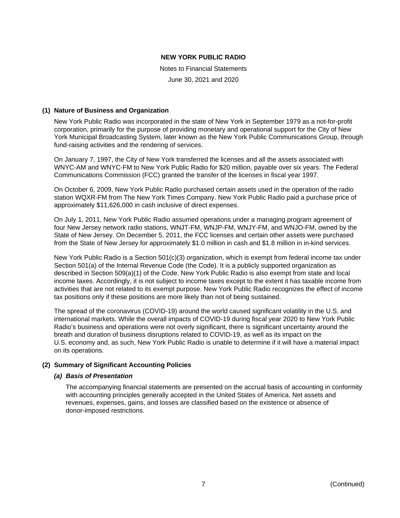Notes to Financial Statements June 30, 2021 and 2020

#### **(1) Nature of Business and Organization**

New York Public Radio was incorporated in the state of New York in September 1979 as a not-for-profit corporation, primarily for the purpose of providing monetary and operational support for the City of New York Municipal Broadcasting System, later known as the New York Public Communications Group, through fund-raising activities and the rendering of services.

On January 7, 1997, the City of New York transferred the licenses and all the assets associated with WNYC-AM and WNYC-FM to New York Public Radio for \$20 million, payable over six years. The Federal Communications Commission (FCC) granted the transfer of the licenses in fiscal year 1997.

On October 6, 2009, New York Public Radio purchased certain assets used in the operation of the radio station WQXR-FM from The New York Times Company. New York Public Radio paid a purchase price of approximately \$11,626,000 in cash inclusive of direct expenses.

On July 1, 2011, New York Public Radio assumed operations under a managing program agreement of four New Jersey network radio stations, WNJT-FM, WNJP-FM, WNJY-FM, and WNJO-FM, owned by the State of New Jersey. On December 5, 2011, the FCC licenses and certain other assets were purchased from the State of New Jersey for approximately \$1.0 million in cash and \$1.8 million in in-kind services.

New York Public Radio is a Section 501(c)(3) organization, which is exempt from federal income tax under Section 501(a) of the Internal Revenue Code (the Code). It is a publicly supported organization as described in Section 509(a)(1) of the Code. New York Public Radio is also exempt from state and local income taxes. Accordingly, it is not subject to income taxes except to the extent it has taxable income from activities that are not related to its exempt purpose. New York Public Radio recognizes the effect of income tax positions only if these positions are more likely than not of being sustained.

The spread of the coronavirus (COVID-19) around the world caused significant volatility in the U.S. and international markets. While the overall impacts of COVID-19 during fiscal year 2020 to New York Public Radio's business and operations were not overly significant, there is significant uncertainty around the breath and duration of business disruptions related to COVID-19, as well as its impact on the U.S. economy and, as such, New York Public Radio is unable to determine if it will have a material impact on its operations.

## **(2) Summary of Significant Accounting Policies**

#### *(a) Basis of Presentation*

The accompanying financial statements are presented on the accrual basis of accounting in conformity with accounting principles generally accepted in the United States of America. Net assets and revenues, expenses, gains, and losses are classified based on the existence or absence of donor-imposed restrictions.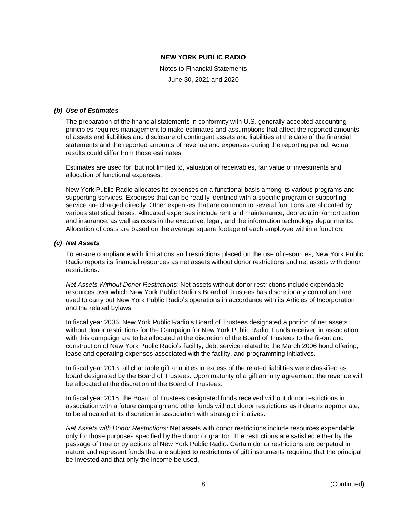Notes to Financial Statements June 30, 2021 and 2020

#### *(b) Use of Estimates*

The preparation of the financial statements in conformity with U.S. generally accepted accounting principles requires management to make estimates and assumptions that affect the reported amounts of assets and liabilities and disclosure of contingent assets and liabilities at the date of the financial statements and the reported amounts of revenue and expenses during the reporting period. Actual results could differ from those estimates.

Estimates are used for, but not limited to, valuation of receivables, fair value of investments and allocation of functional expenses.

New York Public Radio allocates its expenses on a functional basis among its various programs and supporting services. Expenses that can be readily identified with a specific program or supporting service are charged directly. Other expenses that are common to several functions are allocated by various statistical bases. Allocated expenses include rent and maintenance, depreciation/amortization and insurance, as well as costs in the executive, legal, and the information technology departments. Allocation of costs are based on the average square footage of each employee within a function.

#### *(c) Net Assets*

To ensure compliance with limitations and restrictions placed on the use of resources, New York Public Radio reports its financial resources as net assets without donor restrictions and net assets with donor restrictions.

*Net Assets Without Donor Restrictions*: Net assets without donor restrictions include expendable resources over which New York Public Radio's Board of Trustees has discretionary control and are used to carry out New York Public Radio's operations in accordance with its Articles of Incorporation and the related bylaws.

In fiscal year 2006, New York Public Radio's Board of Trustees designated a portion of net assets without donor restrictions for the Campaign for New York Public Radio. Funds received in association with this campaign are to be allocated at the discretion of the Board of Trustees to the fit-out and construction of New York Public Radio's facility, debt service related to the March 2006 bond offering, lease and operating expenses associated with the facility, and programming initiatives.

In fiscal year 2013, all charitable gift annuities in excess of the related liabilities were classified as board designated by the Board of Trustees. Upon maturity of a gift annuity agreement, the revenue will be allocated at the discretion of the Board of Trustees.

In fiscal year 2015, the Board of Trustees designated funds received without donor restrictions in association with a future campaign and other funds without donor restrictions as it deems appropriate, to be allocated at its discretion in association with strategic initiatives.

*Net Assets with Donor Restrictions*: Net assets with donor restrictions include resources expendable only for those purposes specified by the donor or grantor. The restrictions are satisfied either by the passage of time or by actions of New York Public Radio. Certain donor restrictions are perpetual in nature and represent funds that are subject to restrictions of gift instruments requiring that the principal be invested and that only the income be used.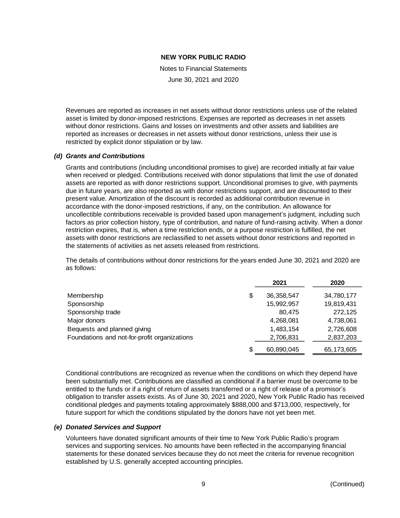Notes to Financial Statements June 30, 2021 and 2020

Revenues are reported as increases in net assets without donor restrictions unless use of the related asset is limited by donor-imposed restrictions. Expenses are reported as decreases in net assets without donor restrictions. Gains and losses on investments and other assets and liabilities are reported as increases or decreases in net assets without donor restrictions, unless their use is restricted by explicit donor stipulation or by law.

#### *(d) Grants and Contributions*

Grants and contributions (including unconditional promises to give) are recorded initially at fair value when received or pledged. Contributions received with donor stipulations that limit the use of donated assets are reported as with donor restrictions support. Unconditional promises to give, with payments due in future years, are also reported as with donor restrictions support, and are discounted to their present value. Amortization of the discount is recorded as additional contribution revenue in accordance with the donor-imposed restrictions, if any, on the contribution. An allowance for uncollectible contributions receivable is provided based upon management's judgment, including such factors as prior collection history, type of contribution, and nature of fund-raising activity. When a donor restriction expires, that is, when a time restriction ends, or a purpose restriction is fulfilled, the net assets with donor restrictions are reclassified to net assets without donor restrictions and reported in the statements of activities as net assets released from restrictions.

The details of contributions without donor restrictions for the years ended June 30, 2021 and 2020 are as follows:

|                                              | 2021               | 2020         |
|----------------------------------------------|--------------------|--------------|
| Membership                                   | \$<br>36, 358, 547 | 34,780,177   |
| Sponsorship                                  | 15,992,957         | 19,819,431   |
| Sponsorship trade                            | 80.475             | 272,125      |
| Major donors                                 | 4,268,081          | 4,738,061    |
| Bequests and planned giving                  | 1,483,154          | 2,726,608    |
| Foundations and not-for-profit organizations | 2,706,831          | 2,837,203    |
|                                              | \$<br>60,890,045   | 65, 173, 605 |

Conditional contributions are recognized as revenue when the conditions on which they depend have been substantially met. Contributions are classified as conditional if a barrier must be overcome to be entitled to the funds or if a right of return of assets transferred or a right of release of a promisor's obligation to transfer assets exists. As of June 30, 2021 and 2020, New York Public Radio has received conditional pledges and payments totaling approximately \$888,000 and \$713,000, respectively, for future support for which the conditions stipulated by the donors have not yet been met.

#### *(e) Donated Services and Support*

Volunteers have donated significant amounts of their time to New York Public Radio's program services and supporting services. No amounts have been reflected in the accompanying financial statements for these donated services because they do not meet the criteria for revenue recognition established by U.S. generally accepted accounting principles.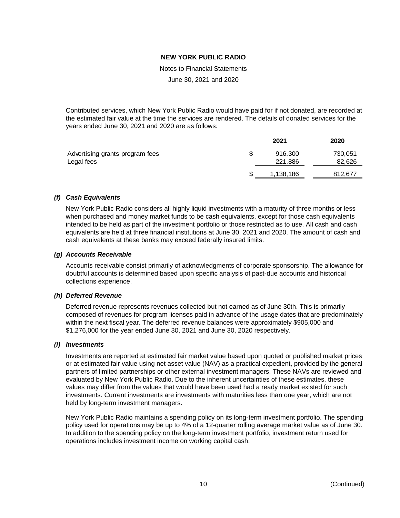Notes to Financial Statements

June 30, 2021 and 2020

Contributed services, which New York Public Radio would have paid for if not donated, are recorded at the estimated fair value at the time the services are rendered. The details of donated services for the years ended June 30, 2021 and 2020 are as follows:

|                                 |   | 2021      | 2020    |
|---------------------------------|---|-----------|---------|
| Advertising grants program fees | S | 916.300   | 730,051 |
| Legal fees                      |   | 221,886   | 82,626  |
|                                 |   | 1,138,186 | 812,677 |

#### *(f) Cash Equivalents*

New York Public Radio considers all highly liquid investments with a maturity of three months or less when purchased and money market funds to be cash equivalents, except for those cash equivalents intended to be held as part of the investment portfolio or those restricted as to use. All cash and cash equivalents are held at three financial institutions at June 30, 2021 and 2020. The amount of cash and cash equivalents at these banks may exceed federally insured limits.

#### *(g) Accounts Receivable*

Accounts receivable consist primarily of acknowledgments of corporate sponsorship. The allowance for doubtful accounts is determined based upon specific analysis of past-due accounts and historical collections experience.

#### *(h) Deferred Revenue*

Deferred revenue represents revenues collected but not earned as of June 30th. This is primarily composed of revenues for program licenses paid in advance of the usage dates that are predominately within the next fiscal year. The deferred revenue balances were approximately \$905,000 and \$1,276,000 for the year ended June 30, 2021 and June 30, 2020 respectively.

#### *(i) Investments*

Investments are reported at estimated fair market value based upon quoted or published market prices or at estimated fair value using net asset value (NAV) as a practical expedient, provided by the general partners of limited partnerships or other external investment managers. These NAVs are reviewed and evaluated by New York Public Radio. Due to the inherent uncertainties of these estimates, these values may differ from the values that would have been used had a ready market existed for such investments. Current investments are investments with maturities less than one year, which are not held by long-term investment managers.

New York Public Radio maintains a spending policy on its long-term investment portfolio. The spending policy used for operations may be up to 4% of a 12-quarter rolling average market value as of June 30. In addition to the spending policy on the long-term investment portfolio, investment return used for operations includes investment income on working capital cash.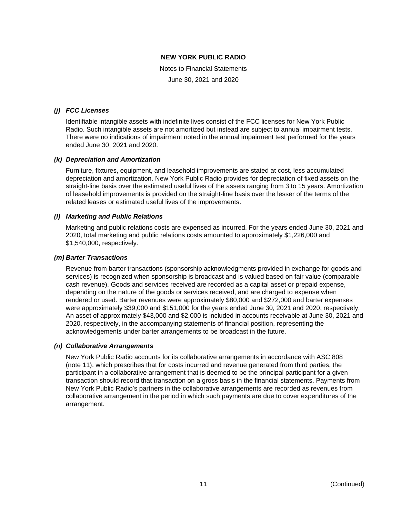Notes to Financial Statements June 30, 2021 and 2020

#### *(j) FCC Licenses*

Identifiable intangible assets with indefinite lives consist of the FCC licenses for New York Public Radio. Such intangible assets are not amortized but instead are subject to annual impairment tests. There were no indications of impairment noted in the annual impairment test performed for the years ended June 30, 2021 and 2020.

#### *(k) Depreciation and Amortization*

Furniture, fixtures, equipment, and leasehold improvements are stated at cost, less accumulated depreciation and amortization. New York Public Radio provides for depreciation of fixed assets on the straight-line basis over the estimated useful lives of the assets ranging from 3 to 15 years. Amortization of leasehold improvements is provided on the straight-line basis over the lesser of the terms of the related leases or estimated useful lives of the improvements.

#### *(l) Marketing and Public Relations*

Marketing and public relations costs are expensed as incurred. For the years ended June 30, 2021 and 2020, total marketing and public relations costs amounted to approximately \$1,226,000 and \$1,540,000, respectively.

#### *(m) Barter Transactions*

Revenue from barter transactions (sponsorship acknowledgments provided in exchange for goods and services) is recognized when sponsorship is broadcast and is valued based on fair value (comparable cash revenue). Goods and services received are recorded as a capital asset or prepaid expense, depending on the nature of the goods or services received, and are charged to expense when rendered or used. Barter revenues were approximately \$80,000 and \$272,000 and barter expenses were approximately \$39,000 and \$151,000 for the years ended June 30, 2021 and 2020, respectively. An asset of approximately \$43,000 and \$2,000 is included in accounts receivable at June 30, 2021 and 2020, respectively, in the accompanying statements of financial position, representing the acknowledgements under barter arrangements to be broadcast in the future.

#### *(n) Collaborative Arrangements*

New York Public Radio accounts for its collaborative arrangements in accordance with ASC 808 (note 11), which prescribes that for costs incurred and revenue generated from third parties, the participant in a collaborative arrangement that is deemed to be the principal participant for a given transaction should record that transaction on a gross basis in the financial statements. Payments from New York Public Radio's partners in the collaborative arrangements are recorded as revenues from collaborative arrangement in the period in which such payments are due to cover expenditures of the arrangement.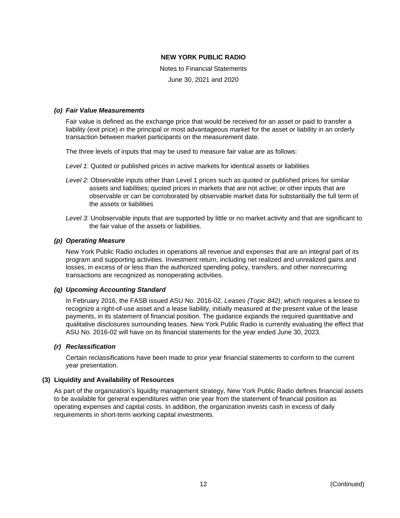Notes to Financial Statements June 30, 2021 and 2020

#### *(o) Fair Value Measurements*

Fair value is defined as the exchange price that would be received for an asset or paid to transfer a liability (exit price) in the principal or most advantageous market for the asset or liability in an orderly transaction between market participants on the measurement date.

The three levels of inputs that may be used to measure fair value are as follows:

*Level 1*: Quoted or published prices in active markets for identical assets or liabilities

- *Level 2*: Observable inputs other than Level 1 prices such as quoted or published prices for similar assets and liabilities; quoted prices in markets that are not active; or other inputs that are observable or can be corroborated by observable market data for substantially the full term of the assets or liabilities
- *Level 3*: Unobservable inputs that are supported by little or no market activity and that are significant to the fair value of the assets or liabilities.

#### *(p) Operating Measure*

New York Public Radio includes in operations all revenue and expenses that are an integral part of its program and supporting activities. Investment return, including net realized and unrealized gains and losses, in excess of or less than the authorized spending policy, transfers, and other nonrecurring transactions are recognized as nonoperating activities.

#### *(q) Upcoming Accounting Standard*

In February 2016, the FASB issued ASU No. 2016-02, *Leases (Topic 842)*, which requires a lessee to recognize a right-of-use asset and a lease liability, initially measured at the present value of the lease payments, in its statement of financial position. The guidance expands the required quantitative and qualitative disclosures surrounding leases. New York Public Radio is currently evaluating the effect that ASU No. 2016-02 will have on its financial statements for the year ended June 30, 2023.

#### *(r) Reclassification*

Certain reclassifications have been made to prior year financial statements to conform to the current year presentation.

#### **(3) Liquidity and Availability of Resources**

As part of the organization's liquidity management strategy, New York Public Radio defines financial assets to be available for general expenditures within one year from the statement of financial position as operating expenses and capital costs. In addition, the organization invests cash in excess of daily requirements in short-term working capital investments.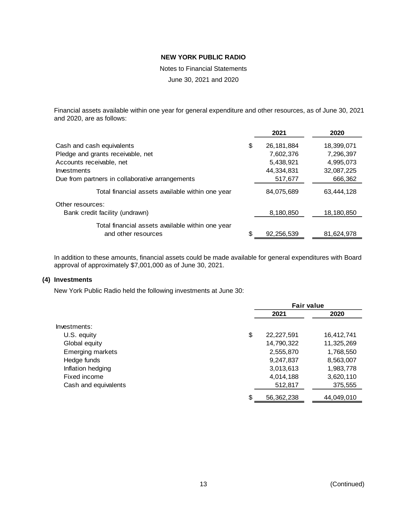Notes to Financial Statements

June 30, 2021 and 2020

Financial assets available within one year for general expenditure and other resources, as of June 30, 2021 and 2020, are as follows:

|                                                  | 2021             | 2020       |
|--------------------------------------------------|------------------|------------|
| Cash and cash equivalents                        | \$<br>26,181,884 | 18,399,071 |
| Pledge and grants receivable, net                | 7,602,376        | 7,296,397  |
| Accounts receivable, net                         | 5,438,921        | 4,995,073  |
| Investments                                      | 44,334,831       | 32,087,225 |
| Due from partners in collaborative arrangements  | 517,677          | 666,362    |
| Total financial assets available within one year | 84,075,689       | 63,444,128 |
| Other resources:                                 |                  |            |
| Bank credit facility (undrawn)                   | 8,180,850        | 18,180,850 |
| Total financial assets available within one year |                  |            |
| and other resources                              | \$<br>92,256,539 | 81,624,978 |

In addition to these amounts, financial assets could be made available for general expenditures with Board approval of approximately \$7,001,000 as of June 30, 2021.

#### **(4) Investments**

New York Public Radio held the following investments at June 30:

|                         | <b>Fair value</b> |            |  |
|-------------------------|-------------------|------------|--|
|                         | 2021              | 2020       |  |
| lnvestments:            |                   |            |  |
| U.S. equity             | \$<br>22,227,591  | 16,412,741 |  |
| Global equity           | 14,790,322        | 11,325,269 |  |
| <b>Emerging markets</b> | 2,555,870         | 1,768,550  |  |
| Hedge funds             | 9,247,837         | 8,563,007  |  |
| Inflation hedging       | 3,013,613         | 1,983,778  |  |
| Fixed income            | 4,014,188         | 3,620,110  |  |
| Cash and equivalents    | 512,817           | 375,555    |  |
|                         | \$<br>56,362,238  | 44,049,010 |  |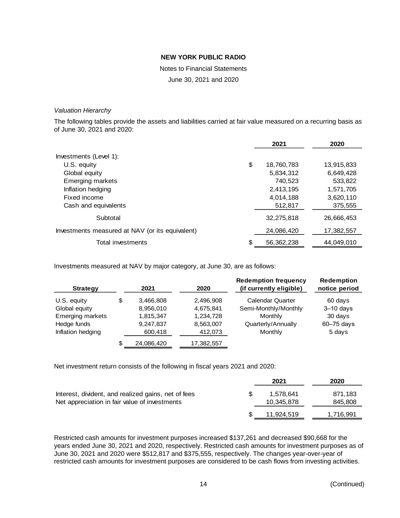Notes to Financial Statements

June 30, 2021 and 2020

*Valuation Hierarchy*

The following tables provide the assets and liabilities carried at fair value measured on a recurring basis as of June 30, 2021 and 2020:

|                                                 | 2021             | 2020       |
|-------------------------------------------------|------------------|------------|
| Investments (Level 1):                          |                  |            |
| U.S. equity                                     | \$<br>18,760,783 | 13,915,833 |
| Global equity                                   | 5,834,312        | 6,649,428  |
| <b>Emerging markets</b>                         | 740,523          | 533,822    |
| Inflation hedging                               | 2,413,195        | 1,571,705  |
| Fixed income                                    | 4,014,188        | 3,620,110  |
| Cash and equivalents                            | 512,817          | 375,555    |
| Subtotal                                        | 32,275,818       | 26,666,453 |
| Investments measured at NAV (or its equivalent) | 24,086,420       | 17,382,557 |
| Total investments                               | \$<br>56,362,238 | 44,049,010 |

Investments measured at NAV by major category, at June 30, are as follows:

| <b>Strategy</b>         | 2021             | 2020       | <b>Redemption frequency</b><br>(if currently eligible) | Redemption<br>notice period |
|-------------------------|------------------|------------|--------------------------------------------------------|-----------------------------|
| U.S. equity             | \$<br>3,466,808  | 2,496,908  | <b>Calendar Quarter</b>                                | 60 days                     |
| Global equity           | 8,956,010        | 4,675,841  | Semi-Monthly/Monthly                                   | $3 - 10$ days               |
| <b>Emerging markets</b> | 1,815,347        | 1,234,728  | Monthly                                                | 30 days                     |
| Hedge funds             | 9,247,837        | 8,563,007  | Quarterly/Annually                                     | 60-75 days                  |
| Inflation hedging       | 600,418          | 412,073    | Monthly                                                | 5 days                      |
|                         | \$<br>24,086,420 | 17,382,557 |                                                        |                             |

Net investment return consists of the following in fiscal years 2021 and 2020:

|                                                     | 2021       | 2020      |
|-----------------------------------------------------|------------|-----------|
| Interest, divident, and realized gains, net of fees | 1.578.641  | 871,183   |
| Net appreciation in fair value of investments       | 10,345,878 | 845,808   |
|                                                     | 11,924,519 | 1,716,991 |

Restricted cash amounts for investment purposes increased \$137,261 and decreased \$90,668 for the years ended June 30, 2021 and 2020, respectively. Restricted cash amounts for investment purposes as of June 30, 2021 and 2020 were \$512,817 and \$375,555, respectively. The changes year-over-year of restricted cash amounts for investment purposes are considered to be cash flows from investing activities.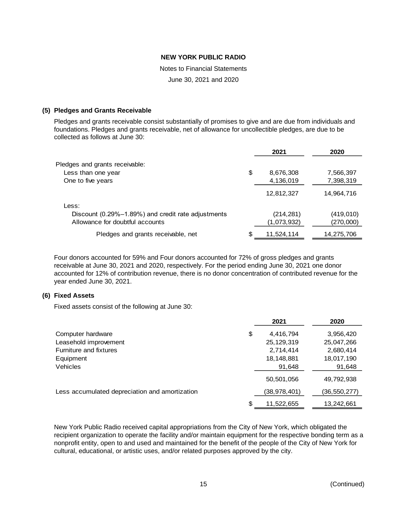Notes to Financial Statements

June 30, 2021 and 2020

#### **(5) Pledges and Grants Receivable**

Pledges and grants receivable consist substantially of promises to give and are due from individuals and foundations. Pledges and grants receivable, net of allowance for uncollectible pledges, are due to be collected as follows at June 30:

|                                                    | 2021            | 2020       |
|----------------------------------------------------|-----------------|------------|
| Pledges and grants receivable:                     |                 |            |
| Less than one year                                 | \$<br>8,676,308 | 7,566,397  |
| One to five years                                  | 4,136,019       | 7,398,319  |
|                                                    | 12,812,327      | 14,964,716 |
| Less:                                              |                 |            |
| Discount (0.29%-1.89%) and credit rate adjustments | (214, 281)      | (419, 010) |
| Allowance for doubtful accounts                    | (1,073,932)     | (270,000)  |
| Pledges and grants receivable, net                 | 11,524,114      | 14,275,706 |
|                                                    |                 |            |

Four donors accounted for 59% and Four donors accounted for 72% of gross pledges and grants receivable at June 30, 2021 and 2020, respectively. For the period ending June 30, 2021 one donor accounted for 12% of contribution revenue, there is no donor concentration of contributed revenue for the year ended June 30, 2021.

## **(6) Fixed Assets**

Fixed assets consist of the following at June 30:

|                                                | 2021            | 2020         |
|------------------------------------------------|-----------------|--------------|
| Computer hardware                              | \$<br>4,416,794 | 3,956,420    |
| Leasehold improvement                          | 25,129,319      | 25,047,266   |
| <b>Furniture and fixtures</b>                  | 2,714,414       | 2,680,414    |
| Equipment                                      | 18,148,881      | 18,017,190   |
| Vehicles                                       | 91,648          | 91,648       |
|                                                | 50,501,056      | 49,792,938   |
| Less accumulated depreciation and amortization | (38,978,401)    | (36,550,277) |
|                                                | 11,522,655      | 13,242,661   |

New York Public Radio received capital appropriations from the City of New York, which obligated the recipient organization to operate the facility and/or maintain equipment for the respective bonding term as a nonprofit entity, open to and used and maintained for the benefit of the people of the City of New York for cultural, educational, or artistic uses, and/or related purposes approved by the city.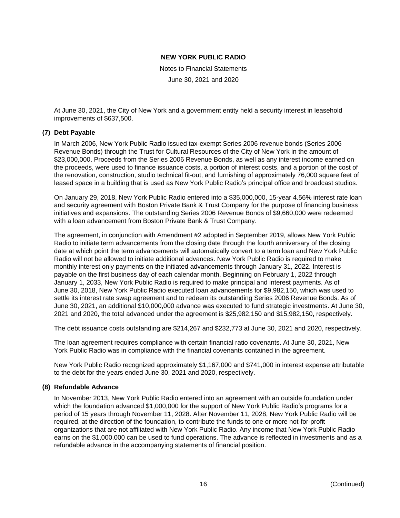Notes to Financial Statements June 30, 2021 and 2020

At June 30, 2021, the City of New York and a government entity held a security interest in leasehold improvements of \$637,500.

#### **(7) Debt Payable**

In March 2006, New York Public Radio issued tax-exempt Series 2006 revenue bonds (Series 2006 Revenue Bonds) through the Trust for Cultural Resources of the City of New York in the amount of \$23,000,000. Proceeds from the Series 2006 Revenue Bonds, as well as any interest income earned on the proceeds, were used to finance issuance costs, a portion of interest costs, and a portion of the cost of the renovation, construction, studio technical fit-out, and furnishing of approximately 76,000 square feet of leased space in a building that is used as New York Public Radio's principal office and broadcast studios.

On January 29, 2018, New York Public Radio entered into a \$35,000,000, 15-year 4.56% interest rate loan and security agreement with Boston Private Bank & Trust Company for the purpose of financing business initiatives and expansions. The outstanding Series 2006 Revenue Bonds of \$9,660,000 were redeemed with a loan advancement from Boston Private Bank & Trust Company.

The agreement, in conjunction with Amendment #2 adopted in September 2019, allows New York Public Radio to initiate term advancements from the closing date through the fourth anniversary of the closing date at which point the term advancements will automatically convert to a term loan and New York Public Radio will not be allowed to initiate additional advances. New York Public Radio is required to make monthly interest only payments on the initiated advancements through January 31, 2022. Interest is payable on the first business day of each calendar month. Beginning on February 1, 2022 through January 1, 2033, New York Public Radio is required to make principal and interest payments. As of June 30, 2018, New York Public Radio executed loan advancements for \$9,982,150, which was used to settle its interest rate swap agreement and to redeem its outstanding Series 2006 Revenue Bonds. As of June 30, 2021, an additional \$10,000,000 advance was executed to fund strategic investments. At June 30, 2021 and 2020, the total advanced under the agreement is \$25,982,150 and \$15,982,150, respectively.

The debt issuance costs outstanding are \$214,267 and \$232,773 at June 30, 2021 and 2020, respectively.

The loan agreement requires compliance with certain financial ratio covenants. At June 30, 2021, New York Public Radio was in compliance with the financial covenants contained in the agreement.

New York Public Radio recognized approximately \$1,167,000 and \$741,000 in interest expense attributable to the debt for the years ended June 30, 2021 and 2020, respectively.

#### **(8) Refundable Advance**

In November 2013, New York Public Radio entered into an agreement with an outside foundation under which the foundation advanced \$1,000,000 for the support of New York Public Radio's programs for a period of 15 years through November 11, 2028. After November 11, 2028, New York Public Radio will be required, at the direction of the foundation, to contribute the funds to one or more not-for-profit organizations that are not affiliated with New York Public Radio. Any income that New York Public Radio earns on the \$1,000,000 can be used to fund operations. The advance is reflected in investments and as a refundable advance in the accompanying statements of financial position.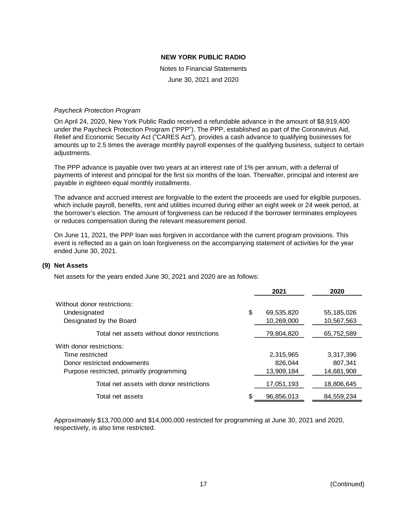Notes to Financial Statements

June 30, 2021 and 2020

#### *Paycheck Protection Program*

On April 24, 2020, New York Public Radio received a refundable advance in the amount of \$8,919,400 under the Paycheck Protection Program ("PPP"). The PPP, established as part of the Coronavirus Aid, Relief and Economic Security Act ("CARES Act"), provides a cash advance to qualifying businesses for amounts up to 2.5 times the average monthly payroll expenses of the qualifying business, subject to certain adjustments.

The PPP advance is payable over two years at an interest rate of 1% per annum, with a deferral of payments of interest and principal for the first six months of the loan. Thereafter, principal and interest are payable in eighteen equal monthly installments.

The advance and accrued interest are forgivable to the extent the proceeds are used for eligible purposes, which include payroll, benefits, rent and utilities incurred during either an eight week or 24 week period, at the borrower's election. The amount of forgiveness can be reduced if the borrower terminates employees or reduces compensation during the relevant measurement period.

On June 11, 2021, the PPP loan was forgiven in accordance with the current program provisions. This event is reflected as a gain on loan forgiveness on the accompanying statement of activities for the year ended June 30, 2021.

## **(9) Net Assets**

Net assets for the years ended June 30, 2021 and 2020 are as follows:

|                                             |    | 2021       | 2020         |
|---------------------------------------------|----|------------|--------------|
| Without donor restrictions:                 |    |            |              |
| Undesignated                                | \$ | 69,535,820 | 55, 185, 026 |
| Designated by the Board                     |    | 10,269,000 | 10,567,563   |
| Total net assets without donor restrictions |    | 79,804,820 | 65,752,589   |
| With donor restrictions:                    |    |            |              |
| Time restricted                             |    | 2,315,965  | 3,317,396    |
| Donor restricted endowments                 |    | 826,044    | 807,341      |
| Purpose restricted, primarily programming   |    | 13,909,184 | 14,681,908   |
| Total net assets with donor restrictions    |    | 17,051,193 | 18,806,645   |
| Total net assets                            | S  | 96,856,013 | 84,559,234   |

Approximately \$13,700,000 and \$14,000,000 restricted for programming at June 30, 2021 and 2020, respectively, is also time restricted.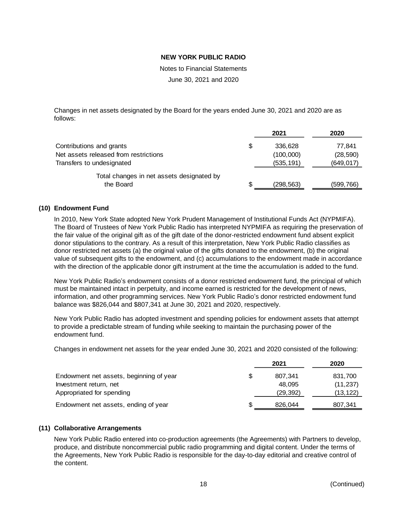Notes to Financial Statements

June 30, 2021 and 2020

Changes in net assets designated by the Board for the years ended June 30, 2021 and 2020 are as follows:

|                                           |    | 2021       | 2020       |
|-------------------------------------------|----|------------|------------|
| Contributions and grants                  | \$ | 336,628    | 77.841     |
| Net assets released from restrictions     |    | (100,000)  | (28, 590)  |
| Transfers to undesignated                 |    | (535, 191) | (649, 017) |
| Total changes in net assets designated by |    |            |            |
| the Board                                 | S  | (298, 563) | (599,766)  |

#### **(10) Endowment Fund**

In 2010, New York State adopted New York Prudent Management of Institutional Funds Act (NYPMIFA). The Board of Trustees of New York Public Radio has interpreted NYPMIFA as requiring the preservation of the fair value of the original gift as of the gift date of the donor-restricted endowment fund absent explicit donor stipulations to the contrary. As a result of this interpretation, New York Public Radio classifies as donor restricted net assets (a) the original value of the gifts donated to the endowment, (b) the original value of subsequent gifts to the endowment, and (c) accumulations to the endowment made in accordance with the direction of the applicable donor gift instrument at the time the accumulation is added to the fund.

New York Public Radio's endowment consists of a donor restricted endowment fund, the principal of which must be maintained intact in perpetuity, and income earned is restricted for the development of news, information, and other programming services. New York Public Radio's donor restricted endowment fund balance was \$826,044 and \$807,341 at June 30, 2021 and 2020, respectively.

New York Public Radio has adopted investment and spending policies for endowment assets that attempt to provide a predictable stream of funding while seeking to maintain the purchasing power of the endowment fund.

Changes in endowment net assets for the year ended June 30, 2021 and 2020 consisted of the following:

|                                         |    | 2021      | 2020      |
|-----------------------------------------|----|-----------|-----------|
| Endowment net assets, beginning of year | S  | 807.341   | 831,700   |
| Investment return, net                  |    | 48.095    | (11, 237) |
| Appropriated for spending               |    | (29, 392) | (13,122)  |
| Endowment net assets, ending of year    | \$ | 826,044   | 807,341   |

## **(11) Collaborative Arrangements**

New York Public Radio entered into co-production agreements (the Agreements) with Partners to develop, produce, and distribute noncommercial public radio programming and digital content. Under the terms of the Agreements, New York Public Radio is responsible for the day-to-day editorial and creative control of the content.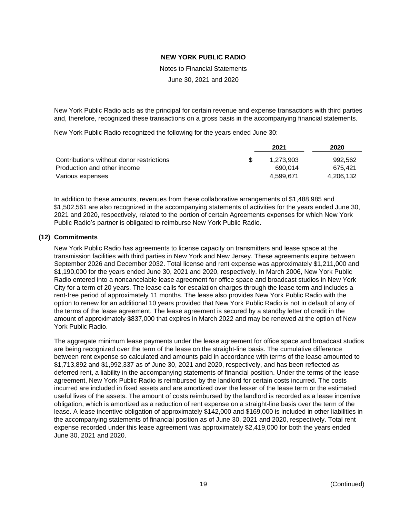Notes to Financial Statements

June 30, 2021 and 2020

New York Public Radio acts as the principal for certain revenue and expense transactions with third parties and, therefore, recognized these transactions on a gross basis in the accompanying financial statements.

New York Public Radio recognized the following for the years ended June 30:

|                                          | 2021      | 2020      |
|------------------------------------------|-----------|-----------|
| Contributions without donor restrictions | 1.273.903 | 992,562   |
| Production and other income              | 690.014   | 675.421   |
| Various expenses                         | 4.599.671 | 4.206.132 |

In addition to these amounts, revenues from these collaborative arrangements of \$1,488,985 and \$1,502,561 are also recognized in the accompanying statements of activities for the years ended June 30, 2021 and 2020, respectively, related to the portion of certain Agreements expenses for which New York Public Radio's partner is obligated to reimburse New York Public Radio.

#### **(12) Commitments**

New York Public Radio has agreements to license capacity on transmitters and lease space at the transmission facilities with third parties in New York and New Jersey. These agreements expire between September 2026 and December 2032. Total license and rent expense was approximately \$1,211,000 and \$1,190,000 for the years ended June 30, 2021 and 2020, respectively. In March 2006, New York Public Radio entered into a noncancelable lease agreement for office space and broadcast studios in New York City for a term of 20 years. The lease calls for escalation charges through the lease term and includes a rent-free period of approximately 11 months. The lease also provides New York Public Radio with the option to renew for an additional 10 years provided that New York Public Radio is not in default of any of the terms of the lease agreement. The lease agreement is secured by a standby letter of credit in the amount of approximately \$837,000 that expires in March 2022 and may be renewed at the option of New York Public Radio.

The aggregate minimum lease payments under the lease agreement for office space and broadcast studios are being recognized over the term of the lease on the straight-line basis. The cumulative difference between rent expense so calculated and amounts paid in accordance with terms of the lease amounted to \$1,713,892 and \$1,992,337 as of June 30, 2021 and 2020, respectively, and has been reflected as deferred rent, a liability in the accompanying statements of financial position. Under the terms of the lease agreement, New York Public Radio is reimbursed by the landlord for certain costs incurred. The costs incurred are included in fixed assets and are amortized over the lesser of the lease term or the estimated useful lives of the assets. The amount of costs reimbursed by the landlord is recorded as a lease incentive obligation, which is amortized as a reduction of rent expense on a straight-line basis over the term of the lease. A lease incentive obligation of approximately \$142,000 and \$169,000 is included in other liabilities in the accompanying statements of financial position as of June 30, 2021 and 2020, respectively. Total rent expense recorded under this lease agreement was approximately \$2,419,000 for both the years ended June 30, 2021 and 2020.